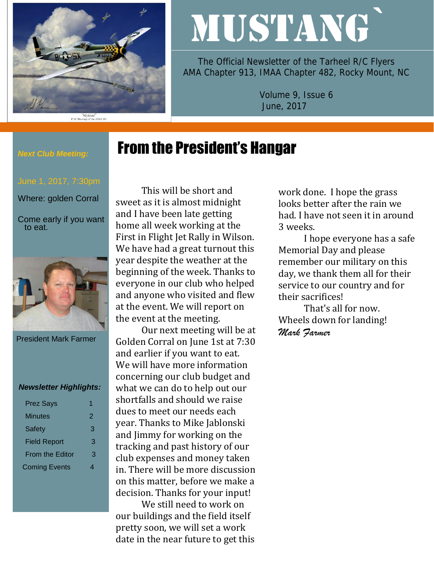

# MUSTANG`

The Official Newsletter of the Tarheel R/C Flyers AMA Chapter 913, IMAA Chapter 482, Rocky Mount, NC

> Volume 9, Issue 6 June, 2017

# From the President's Hangar

#### *Next Club Meeting:*

Where: golden Corral

Come early if you want to eat.



President Mark Farmer

#### *Newsletter Highlights:*

| <b>Prez Says</b>       |   |
|------------------------|---|
| Minutes                | 2 |
| <b>Safety</b>          | 3 |
| <b>Field Report</b>    | З |
| <b>From the Editor</b> | З |
| <b>Coming Events</b>   |   |

This will be short and sweet as it is almost midnight and I have been late getting home all week working at the First in Flight Jet Rally in Wilson. We have had a great turnout this year despite the weather at the beginning of the week. Thanks to everyone in our club who helped and anyone who visited and flew at the event. We will report on the event at the meeting.

Our next meeting will be at Golden Corral on June 1st at 7:30 and earlier if you want to eat. We will have more information concerning our club budget and what we can do to help out our shortfalls and should we raise dues to meet our needs each year. Thanks to Mike Jablonski and Jimmy for working on the tracking and past history of our club expenses and money taken in. There will be more discussion on this matter, before we make a decision. Thanks for your input!

We still need to work on our buildings and the field itself pretty soon, we will set a work date in the near future to get this work done. I hope the grass looks better after the rain we had. I have not seen it in around 3 weeks.

I hope everyone has a safe Memorial Day and please remember our military on this day, we thank them all for their service to our country and for their sacrifices!

That's all for now. Wheels down for landing! *Mark Farmer*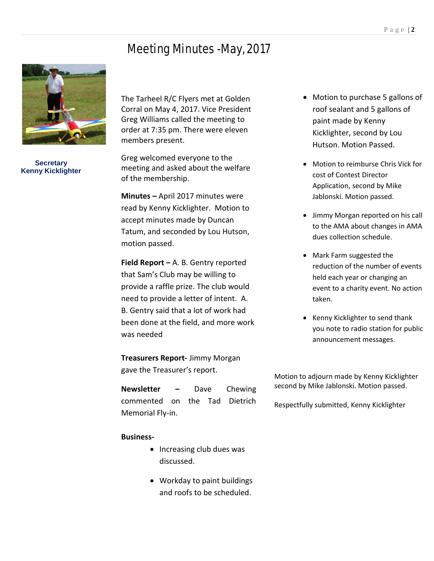## Meeting Minutes -May, 2017



**Secretary Kenny Kicklighter**

The Tarheel R/C Flyers met at Golden Corral on May 4, 2017. Vice President Greg Williams called the meeting to order at 7:35 pm. There were eleven members present.

Greg welcomed everyone to the meeting and asked about the welfare of the membership.

**Minutes –** April 2017 minutes were read by Kenny Kicklighter. Motion to accept minutes made by Duncan Tatum, and seconded by Lou Hutson, motion passed.

**Field Report –** A. B. Gentry reported that Sam's Club may be willing to provide a raffle prize. The club would need to provide a letter of intent. A. B. Gentry said that a lot of work had been done at the field, and more work was needed

**Treasurers Report-** Jimmy Morgan gave the Treasurer's report.

**Newsletter –** Dave Chewing commented on the Tad Dietrich Memorial Fly-in.

#### **Business-**

- Increasing club dues was discussed.
- Workday to paint buildings and roofs to be scheduled.
- Motion to purchase 5 gallons of roof sealant and 5 gallons of paint made by Kenny Kicklighter, second by Lou Hutson. Motion Passed.
- Motion to reimburse Chris Vick for cost of Contest Director Application, second by Mike Jablonski. Motion passed.
- Jimmy Morgan reported on his call to the AMA about changes in AMA dues collection schedule.
- Mark Farm suggested the reduction of the number of events held each year or changing an event to a charity event. No action taken.
- Kenny Kicklighter to send thank you note to radio station for public announcement messages.

Motion to adjourn made by Kenny Kicklighter second by Mike Jablonski. Motion passed.

Respectfully submitted, Kenny Kicklighter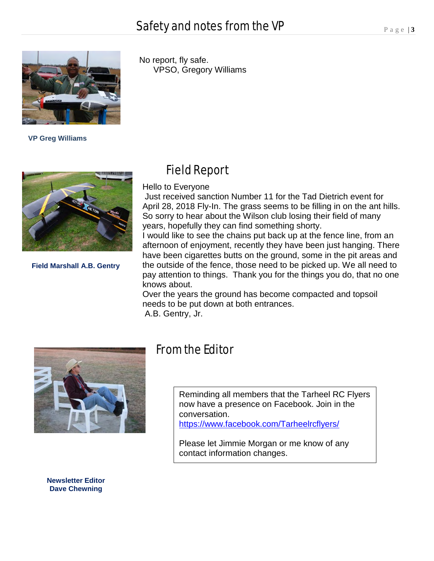

 **VP Greg Williams**



**Field Marshall A.B. Gentry**

 No report, fly safe. VPSO, Gregory Williams

#### Field Report

Hello to Everyone

Just received sanction Number 11 for the Tad Dietrich event for April 28, 2018 Fly-In. The grass seems to be filling in on the ant hills. So sorry to hear about the Wilson club losing their field of many years, hopefully they can find something shorty.

I would like to see the chains put back up at the fence line, from an afternoon of enjoyment, recently they have been just hanging. There have been cigarettes butts on the ground, some in the pit areas and the outside of the fence, those need to be picked up. We all need to pay attention to things. Thank you for the things you do, that no one knows about.

Over the years the ground has become compacted and topsoil needs to be put down at both entrances.

A.B. Gentry, Jr.



### From the Editor

Reminding all members that the Tarheel RC Flyers now have a presence on Facebook. Join in the conversation. <https://www.facebook.com/Tarheelrcflyers/>

Please let Jimmie Morgan or me know of any contact information changes.

**Newsletter Editor Dave Chewning**